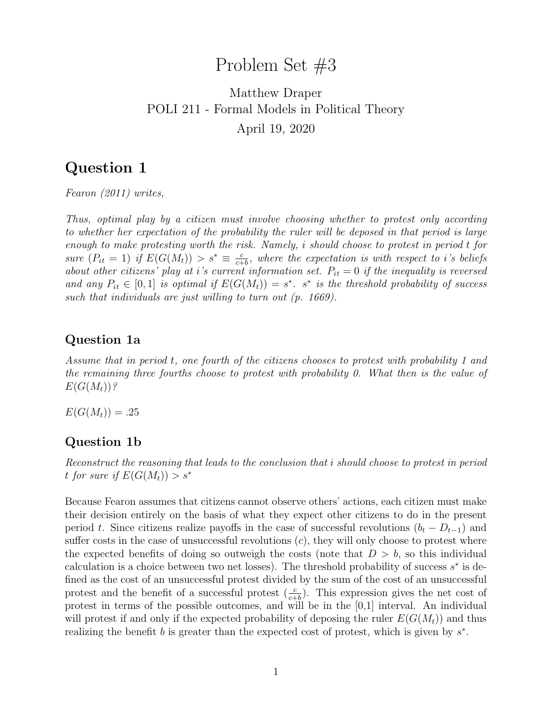# Problem Set #3

# Matthew Draper POLI 211 - Formal Models in Political Theory April 19, 2020

## Question 1

Fearon (2011) writes,

Thus, optimal play by a citizen must involve choosing whether to protest only according to whether her expectation of the probability the ruler will be deposed in that period is large enough to make protesting worth the risk. Namely, i should choose to protest in period t for sure  $(P_{it} = 1)$  if  $E(G(M_t)) > s^* \equiv \frac{c}{c^+}$  $\frac{c}{c+b}$ , where the expectation is with respect to i's beliefs about other citizens' play at i's current information set.  $P_{it} = 0$  if the inequality is reversed and any  $P_{it} \in [0,1]$  is optimal if  $E(G(M_t)) = s^*$ .  $s^*$  is the threshold probability of success such that individuals are just willing to turn out (p. 1669).

#### Question 1a

Assume that in period t, one fourth of the citizens chooses to protest with probability 1 and the remaining three fourths choose to protest with probability 0. What then is the value of  $E(G(M_t))$ ?

 $E(G(M_t)) = .25$ 

### Question 1b

Reconstruct the reasoning that leads to the conclusion that i should choose to protest in period t for sure if  $E(G(M_t)) > s^*$ 

Because Fearon assumes that citizens cannot observe others' actions, each citizen must make their decision entirely on the basis of what they expect other citizens to do in the present period t. Since citizens realize payoffs in the case of successful revolutions  $(b_t - D_{t-1})$  and suffer costs in the case of unsuccessful revolutions  $(c)$ , they will only choose to protest where the expected benefits of doing so outweigh the costs (note that  $D > b$ , so this individual calculation is a choice between two net losses). The threshold probability of success  $s^*$  is defined as the cost of an unsuccessful protest divided by the sum of the cost of an unsuccessful protest and the benefit of a successful protest  $(\frac{c}{c+b})$ . This expression gives the net cost of protest in terms of the possible outcomes, and will be in the [0,1] interval. An individual will protest if and only if the expected probability of deposing the ruler  $E(G(M_t))$  and thus realizing the benefit  $b$  is greater than the expected cost of protest, which is given by  $s^*$ .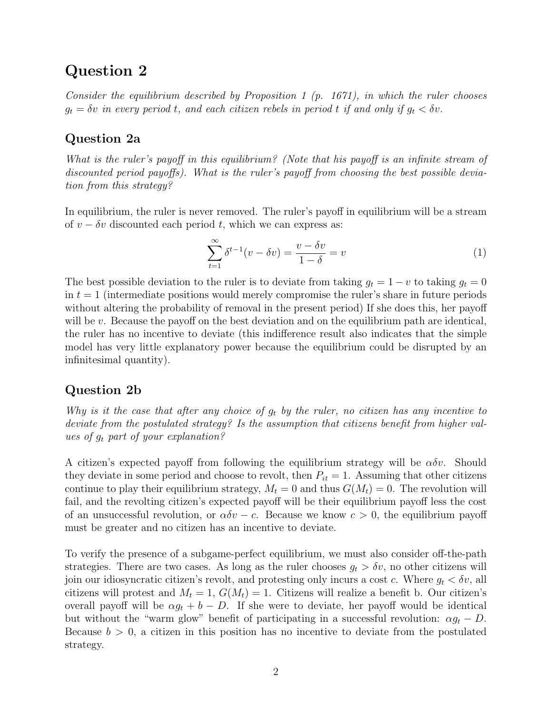### Question 2

Consider the equilibrium described by Proposition 1  $(p. 1671)$ , in which the ruler chooses  $g_t = \delta v$  in every period t, and each citizen rebels in period t if and only if  $g_t < \delta v$ .

#### Question 2a

What is the ruler's payoff in this equilibrium? (Note that his payoff is an infinite stream of discounted period payoffs). What is the ruler's payoff from choosing the best possible deviation from this strategy?

In equilibrium, the ruler is never removed. The ruler's payoff in equilibrium will be a stream of  $v - \delta v$  discounted each period t, which we can express as:

$$
\sum_{t=1}^{\infty} \delta^{t-1}(v - \delta v) = \frac{v - \delta v}{1 - \delta} = v
$$
\n(1)

The best possible deviation to the ruler is to deviate from taking  $g_t = 1 - v$  to taking  $g_t = 0$ in  $t = 1$  (intermediate positions would merely compromise the ruler's share in future periods without altering the probability of removal in the present period) If she does this, her payoff will be  $v$ . Because the payoff on the best deviation and on the equilibrium path are identical, the ruler has no incentive to deviate (this indifference result also indicates that the simple model has very little explanatory power because the equilibrium could be disrupted by an infinitesimal quantity).

#### Question 2b

Why is it the case that after any choice of  $g_t$  by the ruler, no citizen has any incentive to deviate from the postulated strategy? Is the assumption that citizens benefit from higher values of  $g_t$  part of your explanation?

A citizen's expected payoff from following the equilibrium strategy will be  $\alpha \delta v$ . Should they deviate in some period and choose to revolt, then  $P_{it} = 1$ . Assuming that other citizens continue to play their equilibrium strategy,  $M_t = 0$  and thus  $G(M_t) = 0$ . The revolution will fail, and the revolting citizen's expected payoff will be their equilibrium payoff less the cost of an unsuccessful revolution, or  $\alpha \delta v - c$ . Because we know  $c > 0$ , the equilibrium payoff must be greater and no citizen has an incentive to deviate.

To verify the presence of a subgame-perfect equilibrium, we must also consider off-the-path strategies. There are two cases. As long as the ruler chooses  $g_t > \delta v$ , no other citizens will join our idiosyncratic citizen's revolt, and protesting only incurs a cost c. Where  $g_t < \delta v$ , all citizens will protest and  $M_t = 1$ ,  $G(M_t) = 1$ . Citizens will realize a benefit b. Our citizen's overall payoff will be  $\alpha g_t + b - D$ . If she were to deviate, her payoff would be identical but without the "warm glow" benefit of participating in a successful revolution:  $\alpha g_t - D$ . Because  $b > 0$ , a citizen in this position has no incentive to deviate from the postulated strategy.